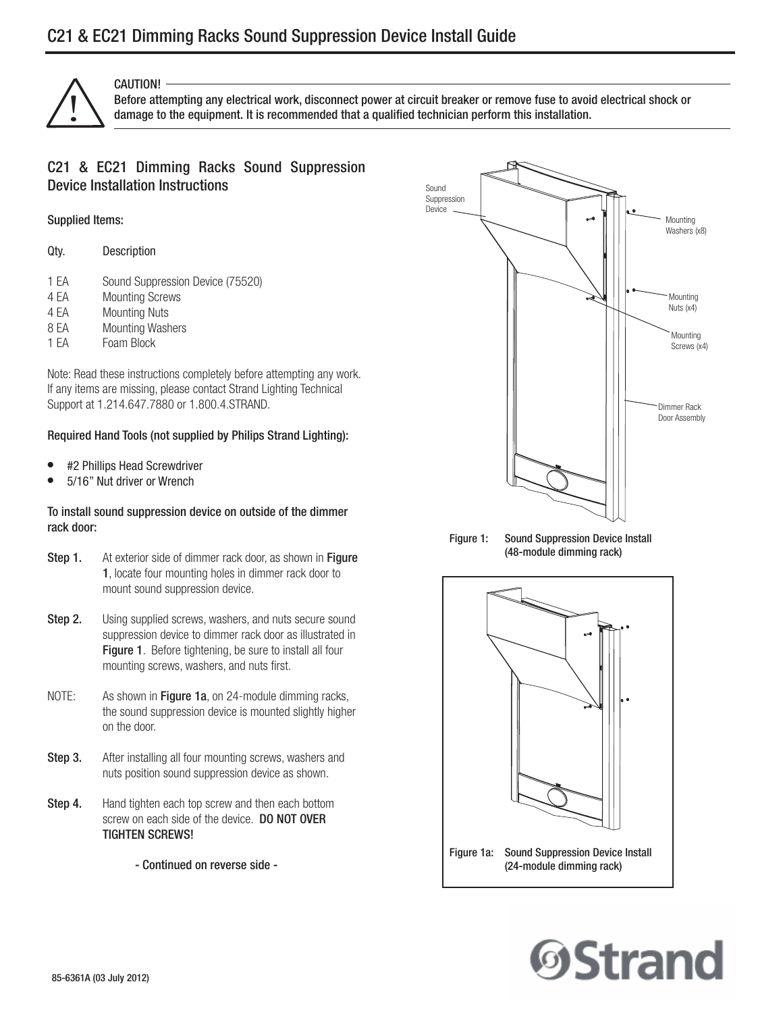

## CAUTION!

Before attempting any electrical work, disconnect power at circuit breaker or remove fuse to avoid electrical shock or<br>damage to the equipment. It is recommended that a qualified technician perform this installation.

## C21 & EC21 Dimming Racks Sound Suppression Device Installation Instructions

### Supplied Items:

| Qty. | Description |
|------|-------------|
|      |             |

- 1 EA Sound Suppression Device (75520)
- 4 EA Mounting Screws
- 4 EA Mounting Nuts
- 8 EA Mounting Washers
- 1 EA Foam Block

Note: Read these instructions completely before attempting any work. If any items are missing, please contact Strand Lighting Technical Support at 1.214.647.7880 or 1.800.4.STRAND.

### Required Hand Tools (not supplied by Philips Strand Lighting):

- #2 Phillips Head Screwdriver
- 5/16" Nut driver or Wrench

### To install sound suppression device on outside of the dimmer rack door:

- Step 1. At exterior side of dimmer rack door, as shown in Figure 1, locate four mounting holes in dimmer rack door to mount sound suppression device.
- **Step 2.** Using supplied screws, washers, and nuts secure sound suppression device to dimmer rack door as illustrated in Figure 1. Before tightening, be sure to install all four mounting screws, washers, and nuts first.
- NOTE: As shown in Figure 1a, on 24-module dimming racks, the sound suppression device is mounted slightly higher on the door.
- **Step 3.** After installing all four mounting screws, washers and nuts position sound suppression device as shown.
- **Step 4.** Hand tighten each top screw and then each bottom screw on each side of the device. **DO NOT OVER** TIGHTEN SCREWS!
	- Continued on reverse side -